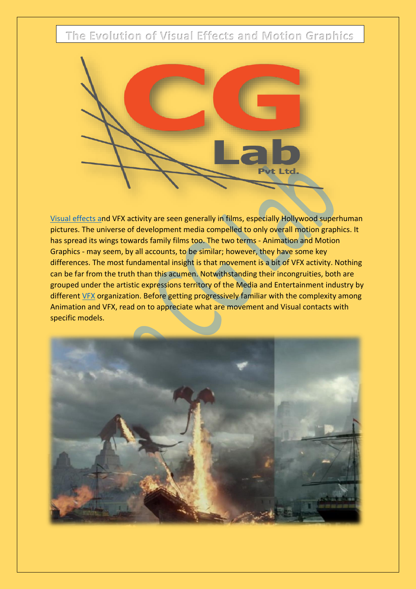**The Evolution of Visual Effects and Motion Graphics**



[Visual effects](https://www.thecglab.com/category/visual-effects/) and VFX activity are seen generally in films, especially Hollywood superhuman pictures. The universe of development media compelled to only overall [motion graphics.](http://www.thecglab.com/about/) It has spread its wings towards family films too. The two terms - Animation and Motion Graphics - may seem, by all accounts, to be similar; however, they have some key differences. The most fundamental insight is that movement is a bit of VFX activity. Nothing can be far from the truth than this acumen. Notwithstanding their incongruities, both are grouped under the artistic expressions territory of the Media and Entertainment industry by different [VFX](https://www.thecglab.com/tag/vfx/) organization. Before getting progressively familiar with the complexity among Animation and VFX, read on to appreciate what are movement and Visual contacts with specific models.

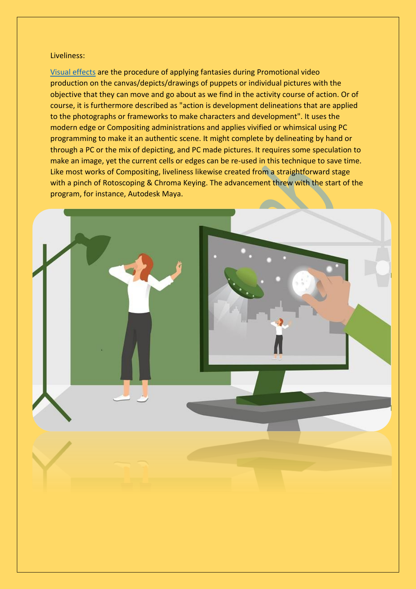## Liveliness:

[Visual effects](https://www.thecglab.com/category/visual-effects/) are the procedure of applying fantasies during [Promotional video](http://www.thecglab.com/about/)  [production](http://www.thecglab.com/about/) on the canvas/depicts/drawings of puppets or individual pictures with the objective that they can move and go about as we find in the activity course of action. Or of course, it is furthermore described as "action is development delineations that are applied to the photographs or frameworks to make characters and development". It uses the modern edge or Compositing administrations and applies vivified or whimsical using PC programming to make it an authentic scene. It might complete by delineating by hand or through a PC or the mix of depicting, and PC made pictures. It requires some speculation to make an image, yet the current cells or edges can be re-used in this technique to save time. Like most works of Compositing, liveliness likewise created from a straightforward stage with a pinch of [Rotoscoping & Chroma Keying.](http://www.thecglab.com/about/) The advancement threw with the start of the program, for instance, Autodesk Maya.

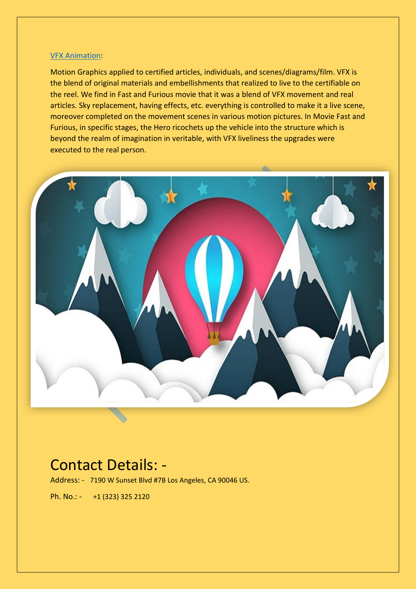## [VFX Animation:](https://www.thecglab.com/tag/vfx/)

[Motion Graphics](http://www.thecglab.com/about/) applied to certified articles, individuals, and scenes/diagrams/film. VFX is the blend of original materials and embellishments that realized to live to the certifiable on the reel. We find in Fast and Furious movie that it was a blend of VFX movement and real articles. Sky replacement, having effects, etc. everything is controlled to make it a live scene, moreover completed on the movement scenes in various motion pictures. In Movie Fast and Furious, in specific stages, the Hero ricochets up the vehicle into the structure which is beyond the realm of imagination in veritable, with VFX liveliness the upgrades were executed to the real person.



## Contact Details: -

Address: - 7190 W Sunset Blvd #7B Los Angeles, CA 90046 US.

Ph. No.: - [+1 \(323\) 325 2120](tel:+1%20(323)%20325%202120)